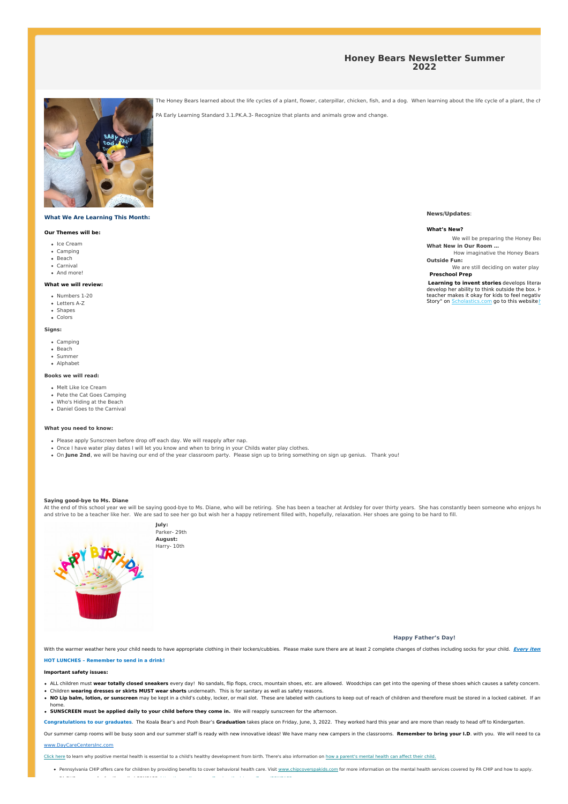## **Honey Bears Newsletter Summer 2022**



### **What We Are Learning This Month:**

### **Our Themes will be:**

- Ice Cream
- Camping • Beach
- Carnival
- And more!

### **What we will review:**

- Numbers 1-20
- Letters A-Z • Shapes
- Colors

### **Signs:**

- Camping
- Beach
- Summer Alphabet
- 

# **Books we will read:**

- Melt Like Ice Cream
- Pete the Cat Goes Camping
- Who's Hiding at the Beach Daniel Goes to the Carnival
- 

### **What you need to know:**

- Please apply Sunscreen before drop off each day. We will reapply after nap.
- . Once I have water play dates I will let you know and when to bring in your Childs water play clothes.
- On **June 2nd**, we will be having our end of the year classroom party. Please sign up to bring something on sign up genius. Thank you!

#### **Saying good-bye to Ms. Diane**

At the end of this school year we will be saying good-bye to Ms. Diane, who will be retiring. She has been a teacher at Ardsley for over thirty years. She has constantly been someone who enjoys he and strive to be a teacher like her. We are sad to see her go but wish her a happy retirement filled with, hopefully, relaxation. Her shoes are going to be hard to fill.



**Happy Father's Day!**

With the warmer weather here your child needs to have appropriate clothing in their lockers/cubbies. Please make sure there are at least 2 complete changes of clothes including socks for your child. Every item

### **HOT LUNCHES – Remember to send in a drink!**

**Important safety issues:**

- . ALL children must wear totally closed sneakers every day! No sandals, flip flops, crocs, mountain shoes, etc. are allowed. Woodchips can get into the opening of these shoes which causes a safety concern.
- Children **wearing dresses or skirts MUST wear shorts** underneath. This is for sanitary as well as safety reasons.
- . No Lin halm, lotion, or sunscreen may be kent in a child's cubby locker, or mail slot. These are labeled with cautions to keep out of reach of children and therefore must be stored in a locked cabinet. If any home.
- **SUNSCREEN must be applied daily to your child before they come in.** We will reapply sunscreen for the afternoon.

Congratulations to our graduates. The Koala Bear's and Pooh Bear's Graduation takes place on Friday, June, 3, 2022. They worked hard this year and are more than ready to head off to Kindergarten.

Our summer camp rooms will be busy soon and our summer staff is ready with new innovative ideas! We have many new campers in the classrooms. Remember to bring your I.D. with you. We will need to ca www.DayCareCentersInc.com

Click here to learn why positive mental health is essential to a child's healthy development from birth. There's also information on how a parent's mental health can affect their child.

. Pennsylvania CHIP offers care for children by providing benefits to cover behavioral health care. Visit www.chipcoverspakids.com for more information on the mental health services covered by PA CHIP and how to apply. PA DHS resource for families called COMPASS: https://www.dhs.pa.gov/Services/Assistance/Pages/COMPASS.aspx

**News/Updates**:

**What's New?**

We will be preparing the Honey Bears to move on **What New in Our Room …**

How imaginative the Honey Bears **Outside Fun:**

We are still deciding on water play **Preschool Prep**

**Learning to invent stories** develops literac develop her ability to think outside the box. H<br>teacher makes it okay for kids to feel negativ Story" on Scholastics.com go to this websitehthere and  $r$